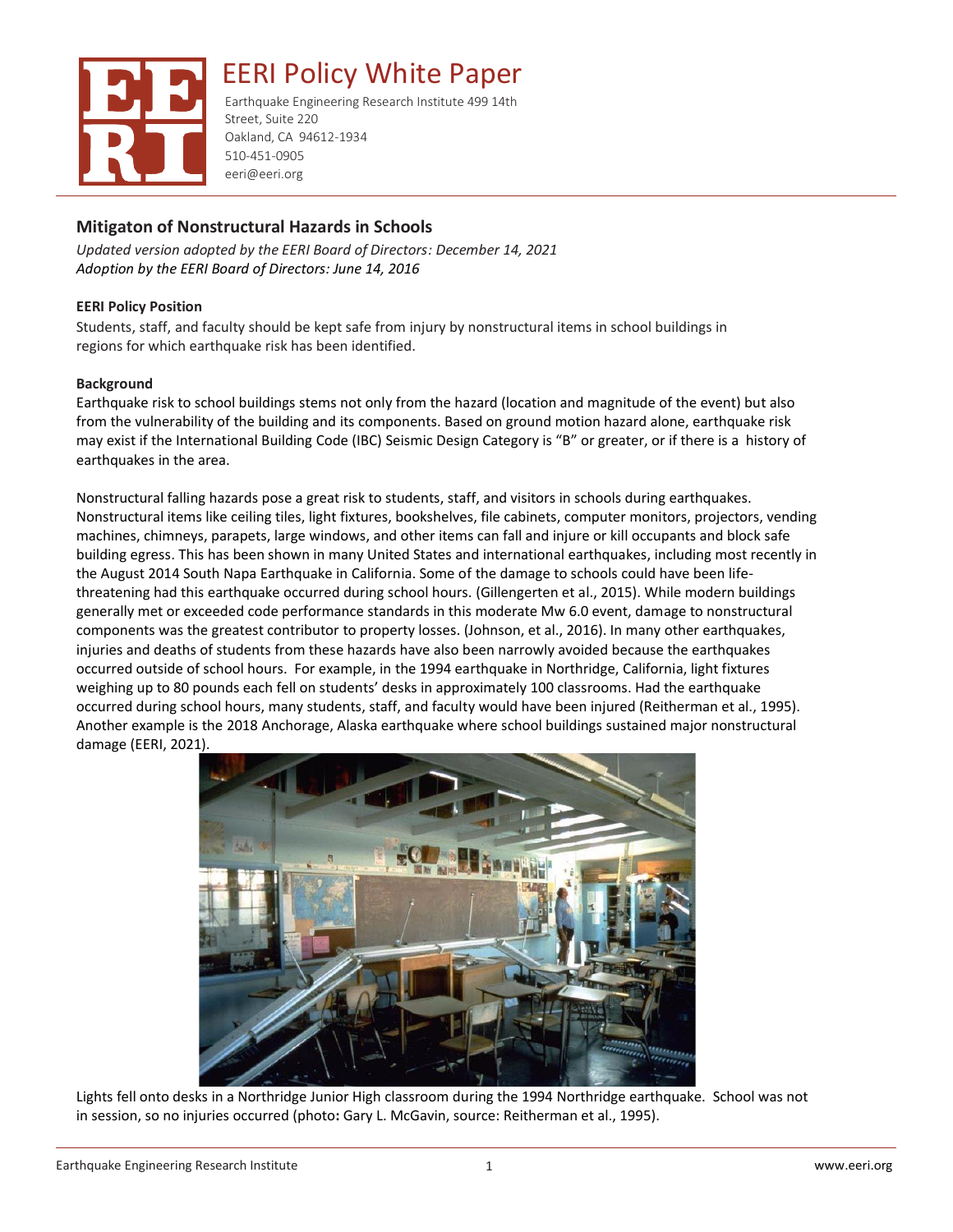

Earthquake Engineering Research Institute 499 14th Street, Suite 220 Oakland, CA 94612-1934 510-451-0905 eeri@eeri.org

## **Mitigaton of Nonstructural Hazards in Schools**

*Updated version adopted by the EERI Board of Directors: December 14, 2021 Adoption by the EERI Board of Directors: June 14, 2016*

### **EERI Policy Position**

Students, staff, and faculty should be kept safe from injury by nonstructural items in school buildings in regions for which earthquake risk has been identified.

### **Background**

Earthquake risk to school buildings stems not only from the hazard (location and magnitude of the event) but also from the vulnerability of the building and its components. Based on ground motion hazard alone, earthquake risk may exist if the International Building Code (IBC) Seismic Design Category is "B" or greater, or if there is a history of earthquakes in the area.

Nonstructural falling hazards pose a great risk to students, staff, and visitors in schools during earthquakes. Nonstructural items like ceiling tiles, light fixtures, bookshelves, file cabinets, computer monitors, projectors, vending machines, chimneys, parapets, large windows, and other items can fall and injure or kill occupants and block safe building egress. This has been shown in many United States and international earthquakes, including most recently in the August 2014 South Napa Earthquake in California. Some of the damage to schools could have been lifethreatening had this earthquake occurred during school hours. (Gillengerten et al., 2015). While modern buildings generally met or exceeded code performance standards in this moderate Mw 6.0 event, damage to nonstructural components was the greatest contributor to property losses. (Johnson, et al., 2016). In many other earthquakes, injuries and deaths of students from these hazards have also been narrowly avoided because the earthquakes occurred outside of school hours. For example, in the 1994 earthquake in Northridge, California, light fixtures weighing up to 80 pounds each fell on students' desks in approximately 100 classrooms. Had the earthquake occurred during school hours, many students, staff, and faculty would have been injured (Reitherman et al., 1995). Another example is the 2018 Anchorage, Alaska earthquake where school buildings sustained major nonstructural damage (EERI, 2021).



Lights fell onto desks in a Northridge Junior High classroom during the 1994 Northridge earthquake. School was not in session, so no injuries occurred (photo**:** Gary L. McGavin, source: Reitherman et al., 1995).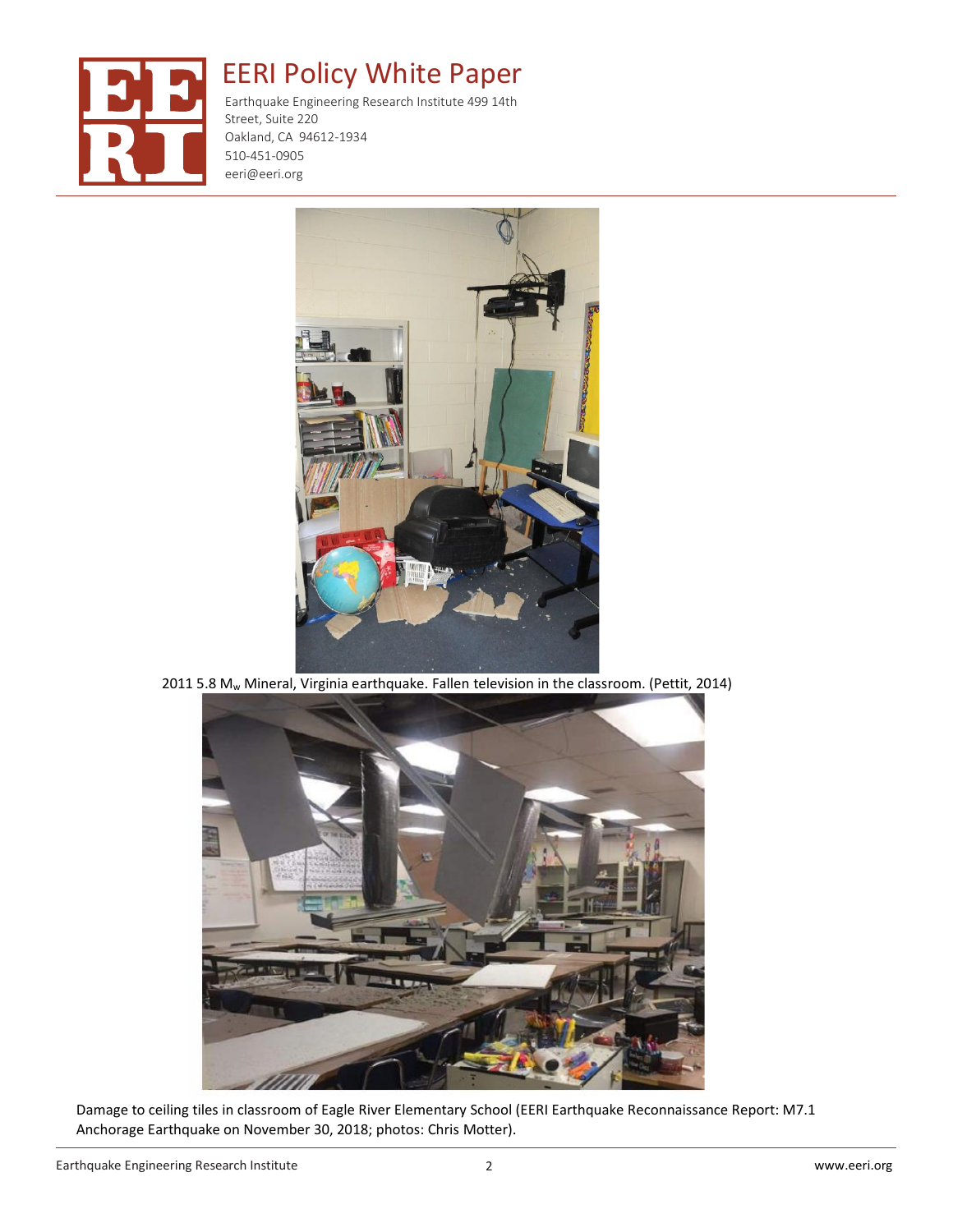

Earthquake Engineering Research Institute 499 14th Street, Suite 220 Oakland, CA 94612-1934 510-451-0905 eeri@eeri.org



2011 5.8 Mw Mineral, Virginia earthquake. Fallen television in the classroom. (Pettit, 2014)



Damage to ceiling tiles in classroom of Eagle River Elementary School (EERI Earthquake Reconnaissance Report: M7.1 Anchorage Earthquake on November 30, 2018; photos: Chris Motter).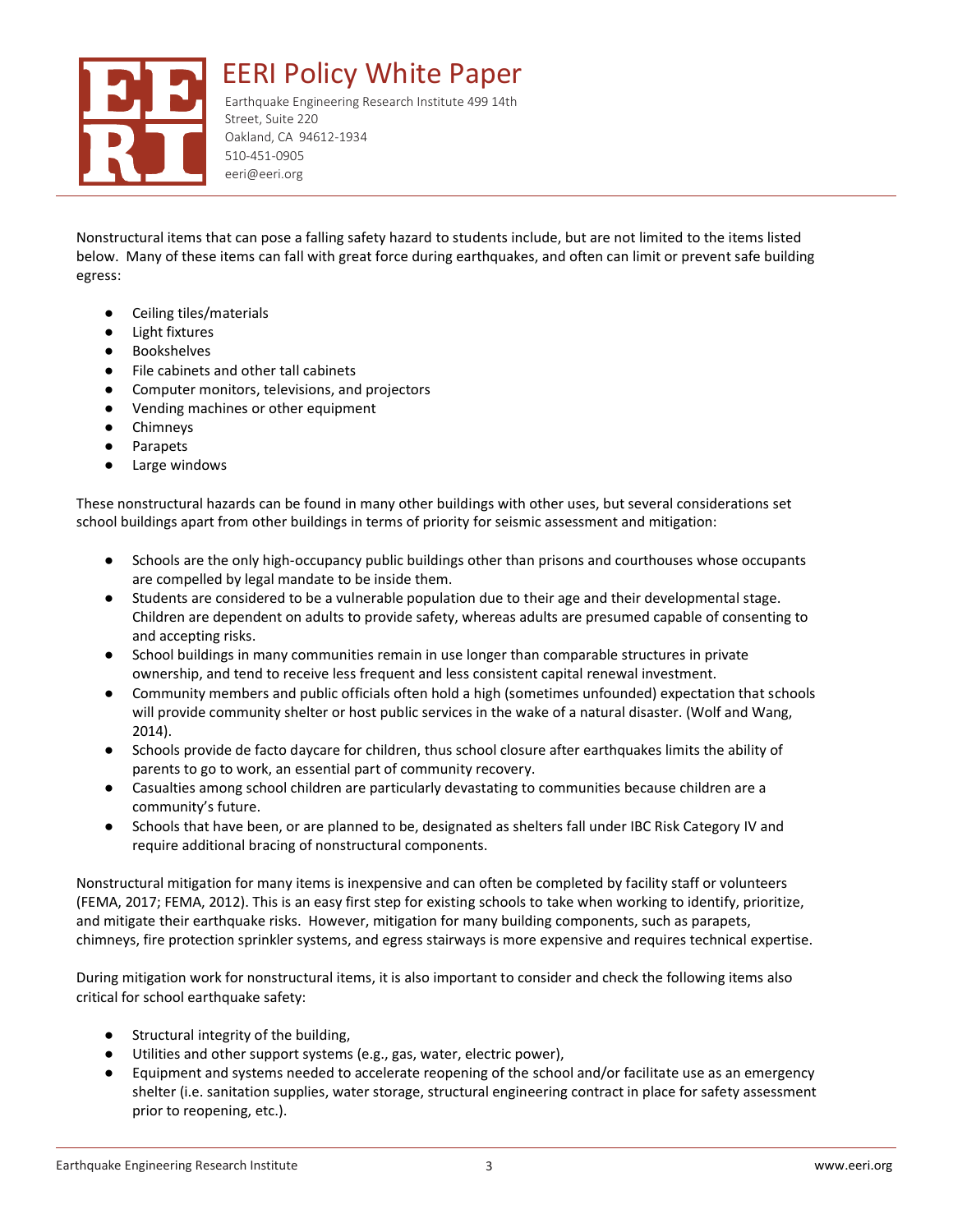

Earthquake Engineering Research Institute 499 14th Street, Suite 220 Oakland, CA 94612-1934 510-451-0905 eeri@eeri.org

Nonstructural items that can pose a falling safety hazard to students include, but are not limited to the items listed below. Many of these items can fall with great force during earthquakes, and often can limit or prevent safe building egress:

- Ceiling tiles/materials
- **Light fixtures**
- **Bookshelves**
- File cabinets and other tall cabinets
- Computer monitors, televisions, and projectors
- Vending machines or other equipment
- **Chimneys**
- **Parapets**
- Large windows

These nonstructural hazards can be found in many other buildings with other uses, but several considerations set school buildings apart from other buildings in terms of priority for seismic assessment and mitigation:

- Schools are the only high-occupancy public buildings other than prisons and courthouses whose occupants are compelled by legal mandate to be inside them.
- Students are considered to be a vulnerable population due to their age and their developmental stage. Children are dependent on adults to provide safety, whereas adults are presumed capable of consenting to and accepting risks.
- School buildings in many communities remain in use longer than comparable structures in private ownership, and tend to receive less frequent and less consistent capital renewal investment.
- Community members and public officials often hold a high (sometimes unfounded) expectation that schools will provide community shelter or host public services in the wake of a natural disaster. (Wolf and Wang, 2014).
- Schools provide de facto daycare for children, thus school closure after earthquakes limits the ability of parents to go to work, an essential part of community recovery.
- Casualties among school children are particularly devastating to communities because children are a community's future.
- Schools that have been, or are planned to be, designated as shelters fall under IBC Risk Category IV and require additional bracing of nonstructural components.

Nonstructural mitigation for many items is inexpensive and can often be completed by facility staff or volunteers (FEMA, 2017; FEMA, 2012). This is an easy first step for existing schools to take when working to identify, prioritize, and mitigate their earthquake risks. However, mitigation for many building components, such as parapets, chimneys, fire protection sprinkler systems, and egress stairways is more expensive and requires technical expertise.

During mitigation work for nonstructural items, it is also important to consider and check the following items also critical for school earthquake safety:

- Structural integrity of the building,
- Utilities and other support systems (e.g., gas, water, electric power),
- Equipment and systems needed to accelerate reopening of the school and/or facilitate use as an emergency shelter (i.e. sanitation supplies, water storage, structural engineering contract in place for safety assessment prior to reopening, etc.).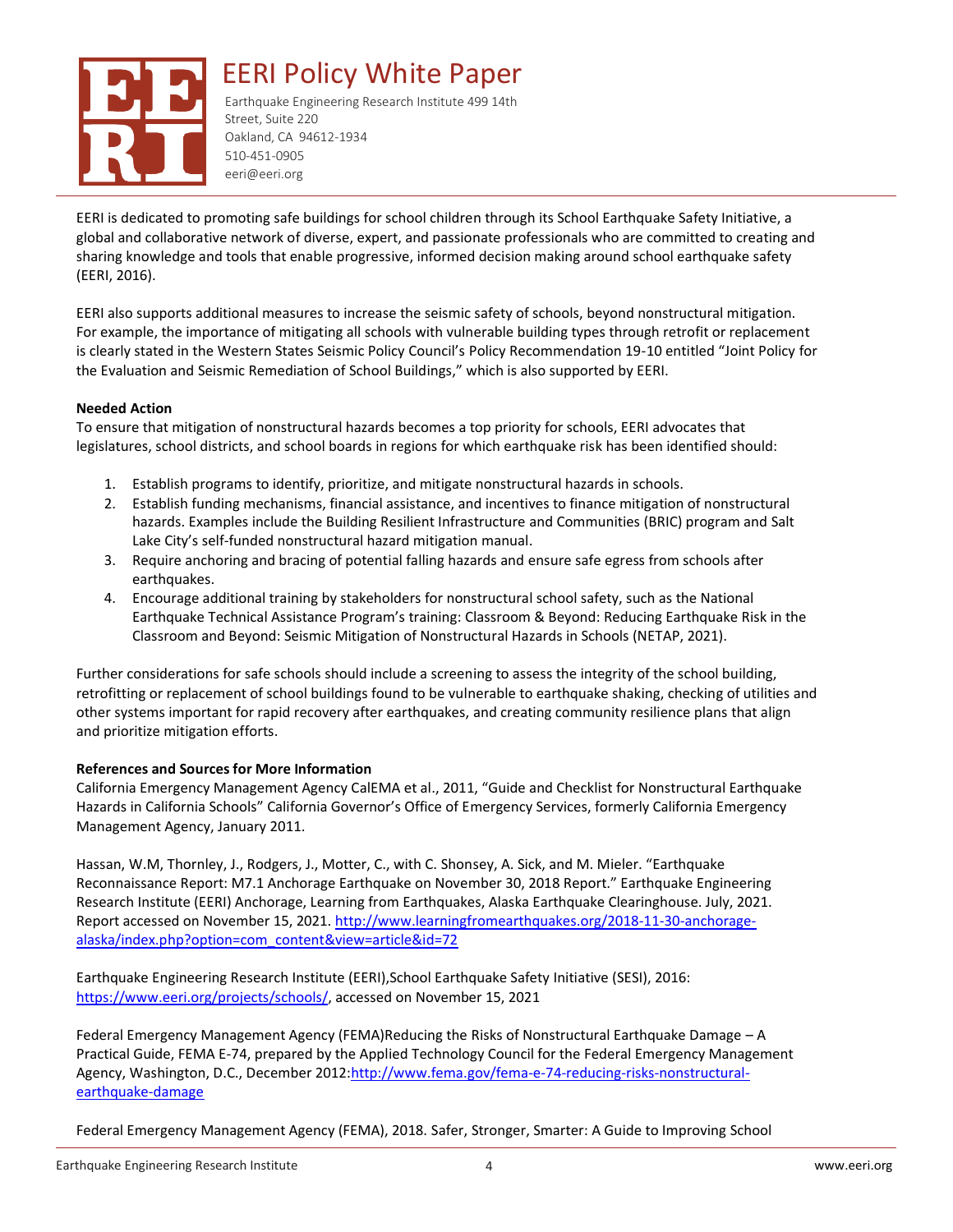

Earthquake Engineering Research Institute 499 14th Street, Suite 220 Oakland, CA 94612-1934 510-451-0905 eeri@eeri.org

EERI is dedicated to promoting safe buildings for school children through its School Earthquake Safety Initiative, a global and collaborative network of diverse, expert, and passionate professionals who are committed to creating and sharing knowledge and tools that enable progressive, informed decision making around school earthquake safety (EERI, 2016).

EERI also supports additional measures to increase the seismic safety of schools, beyond nonstructural mitigation. For example, the importance of mitigating all schools with vulnerable building types through retrofit or replacement is clearly stated in the Western States Seismic Policy Council's Policy Recommendation 19-10 entitled "Joint Policy for the Evaluation and Seismic Remediation of School Buildings," which is also supported by EERI.

### **Needed Action**

To ensure that mitigation of nonstructural hazards becomes a top priority for schools, EERI advocates that legislatures, school districts, and school boards in regions for which earthquake risk has been identified should:

- 1. Establish programs to identify, prioritize, and mitigate nonstructural hazards in schools.
- 2. Establish funding mechanisms, financial assistance, and incentives to finance mitigation of nonstructural hazards. Examples include the Building Resilient Infrastructure and Communities (BRIC) program and Salt Lake City's self-funded nonstructural hazard mitigation manual.
- 3. Require anchoring and bracing of potential falling hazards and ensure safe egress from schools after earthquakes.
- 4. Encourage additional training by stakeholders for nonstructural school safety, such as the National Earthquake Technical Assistance Program's training: Classroom & Beyond: Reducing Earthquake Risk in the Classroom and Beyond: Seismic Mitigation of Nonstructural Hazards in Schools (NETAP, 2021).

Further considerations for safe schools should include a screening to assess the integrity of the school building, retrofitting or replacement of school buildings found to be vulnerable to earthquake shaking, checking of utilities and other systems important for rapid recovery after earthquakes, and creating community resilience plans that align and prioritize mitigation efforts.

### **References and Sources for More Information**

California Emergency Management Agency CalEMA et al., 2011, "Guide and Checklist for Nonstructural Earthquake Hazards in California Schools" California Governor's Office of Emergency Services, formerly California Emergency Management Agency, January 2011.

Hassan, W.M, Thornley, J., Rodgers, J., Motter, C., with C. Shonsey, A. Sick, and M. Mieler. "Earthquake Reconnaissance Report: M7.1 Anchorage Earthquake on November 30, 2018 Report." Earthquake Engineering Research Institute (EERI) Anchorage, Learning from Earthquakes, Alaska Earthquake Clearinghouse. July, 2021. Report accessed on November 15, 2021. [http://www.learningfromearthquakes.org/2018-11-30-anchorage](http://www.learningfromearthquakes.org/2018-11-30-anchorage-alaska/index.php?option=com_content&view=article&id=72)[alaska/index.php?option=com\\_content&view=article&id=72](http://www.learningfromearthquakes.org/2018-11-30-anchorage-alaska/index.php?option=com_content&view=article&id=72)

Earthquake Engineering Research Institute (EERI),School Earthquake Safety Initiative (SESI), 2016: [https://www.eeri.org/projects/schools/,](about:blank) accessed on November 15, 2021

Federal Emergency Management Agency (FEMA)Reducing the Risks of Nonstructural Earthquake Damage – A Practical Guide, FEMA E-74, prepared by the Applied Technology Council for the Federal Emergency Management Agency, Washington, D.C., December 2012[:http://www.fema.gov/fema-e-74-reducing-risks-nonstructural](http://www.fema.gov/fema-e-74-reducing-risks-nonstructural-earthquake-damage)[earthquake-damage](http://www.fema.gov/fema-e-74-reducing-risks-nonstructural-earthquake-damage)

Federal Emergency Management Agency (FEMA), 2018. Safer, Stronger, Smarter: A Guide to Improving School